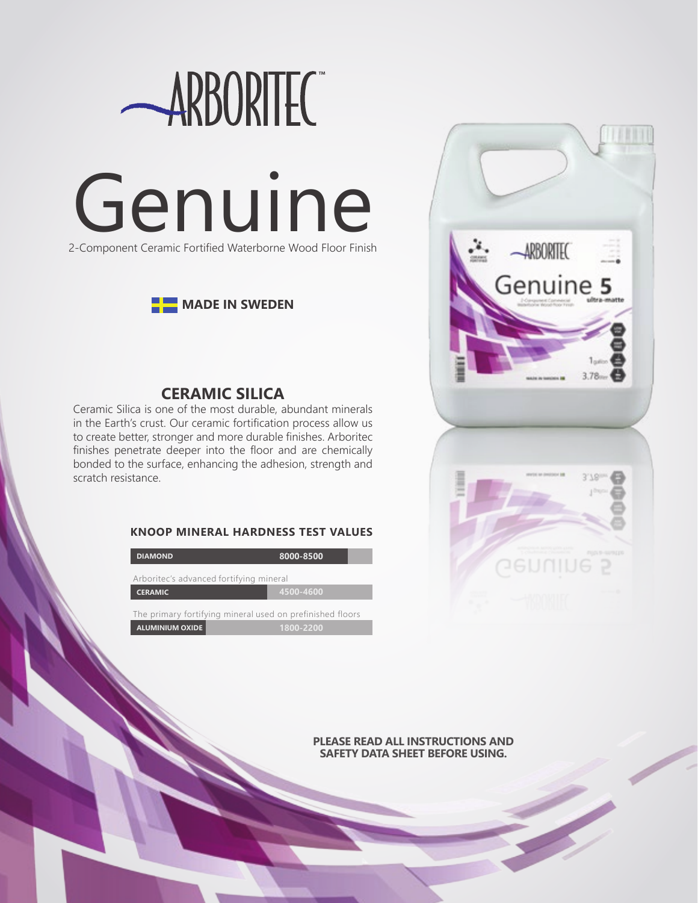





## **CERAMIC SILICA**

Ceramic Silica is one of the most durable, abundant minerals in the Earth's crust. Our ceramic fortification process allow us to create better, stronger and more durable finishes. Arboritec finishes penetrate deeper into the floor and are chemically bonded to the surface, enhancing the adhesion, strength and scratch resistance.

### **KNOOP MINERAL HARDNESS TEST VALUES**

| <b>DIAMOND</b>                                            | 8000-8500 |
|-----------------------------------------------------------|-----------|
| Arboritec's advanced fortifying mineral                   |           |
| <b>CERAMIC</b>                                            | 4500-4600 |
| The primary fortifying mineral used on prefinished floors |           |
| <b>ALUMINIUM OXIDE</b>                                    | 1800-2200 |



**PLEASE READ ALL INSTRUCTIONS AND SAFETY DATA SHEET BEFORE USING.**